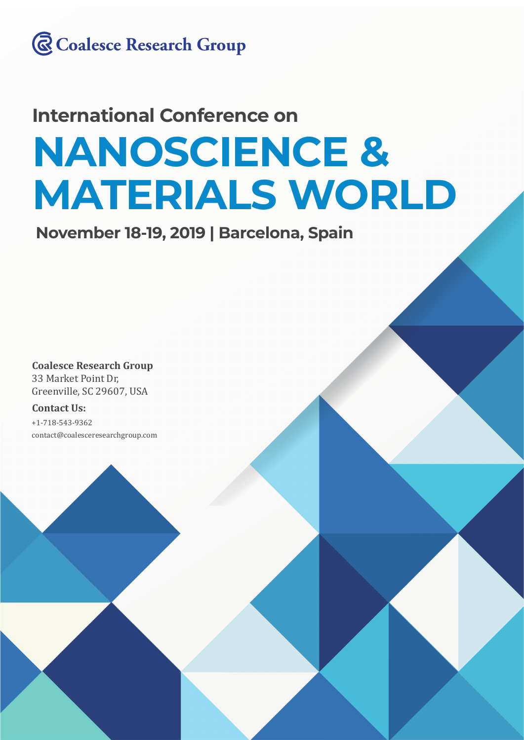

# **NANOSCIENCE & MATERIALS WORLD International Conference on**

**November 18-19, 2019 | Barcelona, Spain**

**Coalesce Research Group** 33 Market Point Dr, Greenville, SC 29607, USA

#### **Contact Us:**

+1-718-543-9362 contact@coalesceresearchgroup.com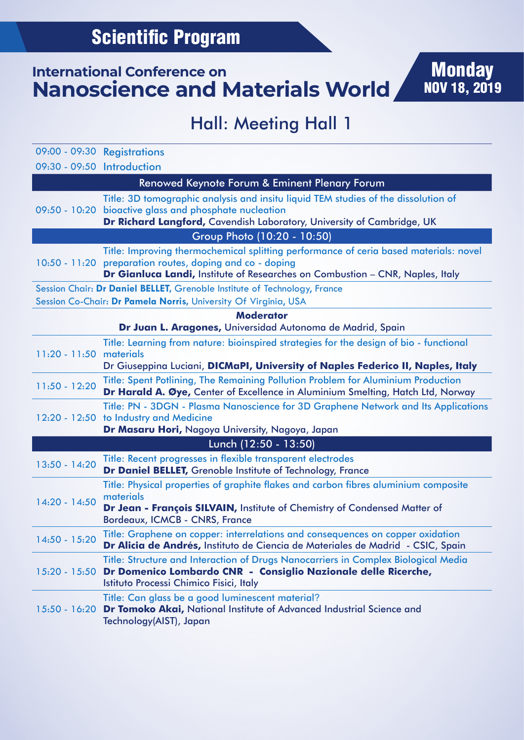# Hall: Meeting Hall 1

**Monday** 

NOV 18, 2019

|                            | 09:00 - 09:30 Registrations                                                                                                                                                                                                        |
|----------------------------|------------------------------------------------------------------------------------------------------------------------------------------------------------------------------------------------------------------------------------|
| 09:30 - 09:50 Introduction |                                                                                                                                                                                                                                    |
|                            | Renowed Keynote Forum & Eminent Plenary Forum                                                                                                                                                                                      |
|                            | Title: 3D tomographic analysis and insitu liquid TEM studies of the dissolution of<br>09:50 - 10:20 bioactive glass and phosphate nucleation<br>Dr Richard Langford, Cavendish Laboratory, University of Cambridge, UK             |
|                            | Group Photo (10:20 - 10:50)                                                                                                                                                                                                        |
|                            | Title: Improving thermochemical splitting performance of ceria based materials: novel<br>10:50 - 11:20 preparation routes, doping and co - doping<br>Dr Gianluca Landi, Institute of Researches on Combustion - CNR, Naples, Italy |
|                            | Session Chair: Dr Daniel BELLET, Grenoble Institute of Technology, France                                                                                                                                                          |
|                            | Session Co-Chair: Dr Pamela Norris, University Of Virginia, USA                                                                                                                                                                    |
|                            | <b>Moderator</b>                                                                                                                                                                                                                   |
|                            | Dr Juan L. Aragones, Universidad Autonoma de Madrid, Spain                                                                                                                                                                         |
| $11:20 - 11:50$            | Title: Learning from nature: bioinspired strategies for the design of bio - functional<br>materials                                                                                                                                |
|                            | Dr Giuseppina Luciani, DICMaPI, University of Naples Federico II, Naples, Italy                                                                                                                                                    |
| $11:50 - 12:20$            | Title: Spent Potlining, The Remaining Pollution Problem for Aluminium Production<br>Dr Harald A. Øye, Center of Excellence in Aluminium Smelting, Hatch Ltd, Norway                                                                |
|                            | Title: PN - 3DGN - Plasma Nanoscience for 3D Graphene Network and Its Applications<br>12:20 - 12:50 to Industry and Medicine                                                                                                       |
|                            | Dr Masaru Hori, Nagoya University, Nagoya, Japan                                                                                                                                                                                   |
|                            | Lunch (12:50 - 13:50)                                                                                                                                                                                                              |
| $13:50 - 14:20$            | Title: Recent progresses in flexible transparent electrodes                                                                                                                                                                        |
|                            | Dr Daniel BELLET, Grenoble Institute of Technology, France                                                                                                                                                                         |
| 14:20 - 14:50              | Title: Physical properties of graphite flakes and carbon fibres aluminium composite                                                                                                                                                |
|                            | materials<br>Dr Jean - François SILVAIN, Institute of Chemistry of Condensed Matter of                                                                                                                                             |
|                            | Bordeaux, ICMCB - CNRS, France                                                                                                                                                                                                     |
| 14:50 - 15:20              | Title: Graphene on copper: interrelations and consequences on copper oxidation<br>Dr Alicia de Andrés, Instituto de Ciencia de Materiales de Madrid - CSIC, Spain                                                                  |
| $15:20 - 15:50$            | Title: Structure and Interaction of Drugs Nanocarriers in Complex Biological Media<br>Dr Domenico Lombardo CNR - Consiglio Nazionale delle Ricerche,<br>Istituto Processi Chimico Fisici, Italy                                    |
| $15:50 - 16:20$            | Title: Can glass be a good luminescent material?<br>Dr Tomoko Akai, National Institute of Advanced Industrial Science and<br>Technology(AIST), Japan                                                                               |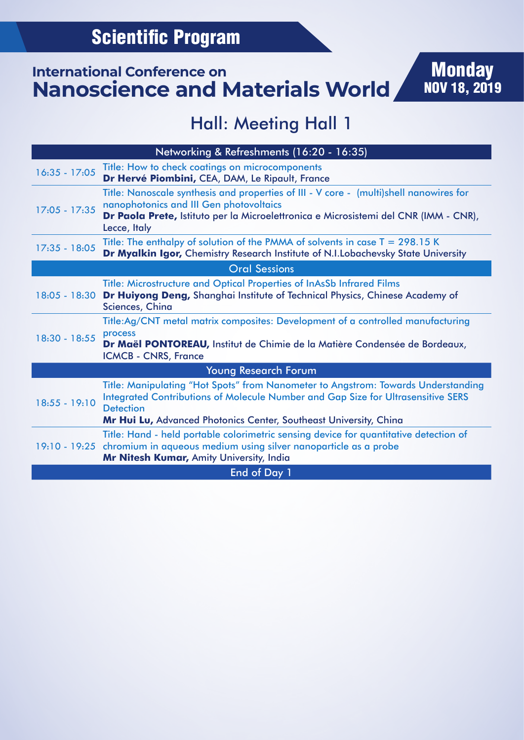## Hall: Meeting Hall 1

| Networking & Refreshments (16:20 - 16:35) |                                                                                                                                                                                                                                                                |  |
|-------------------------------------------|----------------------------------------------------------------------------------------------------------------------------------------------------------------------------------------------------------------------------------------------------------------|--|
| $16:35 - 17:05$                           | Title: How to check coatings on microcomponents<br>Dr Hervé Piombini, CEA, DAM, Le Ripault, France                                                                                                                                                             |  |
| $17:05 - 17:35$                           | Title: Nanoscale synthesis and properties of III - V core - (multi)shell nanowires for<br>nanophotonics and III Gen photovoltaics<br>Dr Paola Prete, Istituto per la Microelettronica e Microsistemi del CNR (IMM - CNR),<br>Lecce, Italy                      |  |
| 17:35 - 18:05                             | Title: The enthalpy of solution of the PMMA of solvents in case $T = 298.15$ K<br>Dr Myalkin Igor, Chemistry Research Institute of N.I.Lobachevsky State University                                                                                            |  |
| <b>Oral Sessions</b>                      |                                                                                                                                                                                                                                                                |  |
|                                           | Title: Microstructure and Optical Properties of InAsSb Infrared Films<br>18:05 - 18:30 Dr Huiyong Deng, Shanghai Institute of Technical Physics, Chinese Academy of<br>Sciences, China                                                                         |  |
| 18:30 - 18:55                             | Title:Ag/CNT metal matrix composites: Development of a controlled manufacturing<br>process<br>Dr Maël PONTOREAU, Institut de Chimie de la Matière Condensée de Bordeaux,<br><b>ICMCB - CNRS, France</b>                                                        |  |
| <b>Young Research Forum</b>               |                                                                                                                                                                                                                                                                |  |
| $18:55 - 19:10$                           | Title: Manipulating "Hot Spots" from Nanometer to Angstrom: Towards Understanding<br>Integrated Contributions of Molecule Number and Gap Size for Ultrasensitive SERS<br><b>Detection</b><br>Mr Hui Lu, Advanced Photonics Center, Southeast University, China |  |
|                                           | Title: Hand - held portable colorimetric sensing device for quantitative detection of<br>19:10 - 19:25 chromium in aqueous medium using silver nanoparticle as a probe<br>Mr Nitesh Kumar, Amity University, India                                             |  |
| <b>End of Day 1</b>                       |                                                                                                                                                                                                                                                                |  |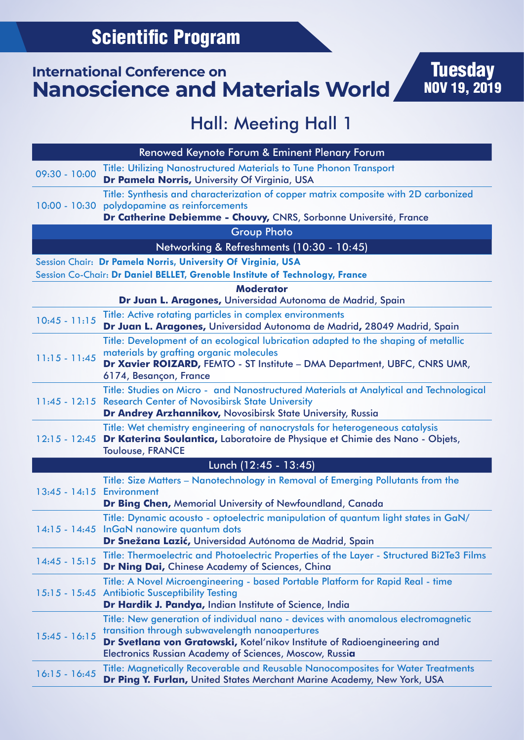# Hall: Meeting Hall 1

| Renowed Keynote Forum & Eminent Plenary Forum |                                                                                                                                                                                                                                                                                   |  |
|-----------------------------------------------|-----------------------------------------------------------------------------------------------------------------------------------------------------------------------------------------------------------------------------------------------------------------------------------|--|
| $09:30 - 10:00$                               | <b>Title: Utilizing Nanostructured Materials to Tune Phonon Transport</b><br>Dr Pamela Norris, University Of Virginia, USA                                                                                                                                                        |  |
|                                               | Title: Synthesis and characterization of copper matrix composite with 2D carbonized                                                                                                                                                                                               |  |
|                                               | 10:00 - 10:30 polydopamine as reinforcements<br>Dr Catherine Debiemme - Chouvy, CNRS, Sorbonne Université, France                                                                                                                                                                 |  |
|                                               | <b>Group Photo</b>                                                                                                                                                                                                                                                                |  |
|                                               | Networking & Refreshments (10:30 - 10:45)                                                                                                                                                                                                                                         |  |
|                                               | Session Chair: Dr Pamela Norris, University Of Virginia, USA                                                                                                                                                                                                                      |  |
|                                               | Session Co-Chair: Dr Daniel BELLET, Grenoble Institute of Technology, France                                                                                                                                                                                                      |  |
|                                               | <b>Moderator</b><br>Dr Juan L. Aragones, Universidad Autonoma de Madrid, Spain                                                                                                                                                                                                    |  |
| $10:45 - 11:15$                               | Title: Active rotating particles in complex environments<br>Dr Juan L. Aragones, Universidad Autonoma de Madrid, 28049 Madrid, Spain                                                                                                                                              |  |
|                                               | Title: Development of an ecological lubrication adapted to the shaping of metallic                                                                                                                                                                                                |  |
| $11:15 - 11:45$                               | materials by grafting organic molecules<br>Dr Xavier ROIZARD, FEMTO - ST Institute - DMA Department, UBFC, CNRS UMR,<br>6174, Besançon, France                                                                                                                                    |  |
|                                               | Title: Studies on Micro - and Nanostructured Materials at Analytical and Technological                                                                                                                                                                                            |  |
|                                               | 11:45 - 12:15 Research Center of Novosibirsk State University<br>Dr Andrey Arzhannikov, Novosibirsk State University, Russia                                                                                                                                                      |  |
| $12:15 - 12:45$                               | Title: Wet chemistry engineering of nanocrystals for heterogeneous catalysis<br>Dr Katerina Soulantica, Laboratoire de Physique et Chimie des Nano - Objets,<br><b>Toulouse, FRANCE</b>                                                                                           |  |
|                                               | Lunch (12:45 - 13:45)                                                                                                                                                                                                                                                             |  |
|                                               | Title: Size Matters - Nanotechnology in Removal of Emerging Pollutants from the                                                                                                                                                                                                   |  |
| 13:45 - 14:15 Environment                     | Dr Bing Chen, Memorial University of Newfoundland, Canada                                                                                                                                                                                                                         |  |
|                                               | Title: Dynamic acousto - optoelectric manipulation of quantum light states in GaN/<br>14:15 - 14:45 InGaN nanowire quantum dots<br>Dr Snežana Lazić, Universidad Autónoma de Madrid, Spain                                                                                        |  |
| $14:45 - 15:15$                               | Title: Thermoelectric and Photoelectric Properties of the Layer - Structured Bi2Te3 Films<br>Dr Ning Dai, Chinese Academy of Sciences, China                                                                                                                                      |  |
|                                               | Title: A Novel Microengineering - based Portable Platform for Rapid Real - time<br>15:15 - 15:45 Antibiotic Susceptibility Testing<br>Dr Hardik J. Pandya, Indian Institute of Science, India                                                                                     |  |
| $15:45 - 16:15$                               | Title: New generation of individual nano - devices with anomalous electromagnetic<br>transition through subwavelength nanoapertures<br>Dr Svetlana von Gratowski, Kotel'nikov Institute of Radioengineering and<br><b>Electronics Russian Academy of Sciences, Moscow, Russia</b> |  |
| $16:15 - 16:45$                               | Title: Magnetically Recoverable and Reusable Nanocomposites for Water Treatments<br>Dr Ping Y. Furlan, United States Merchant Marine Academy, New York, USA                                                                                                                       |  |